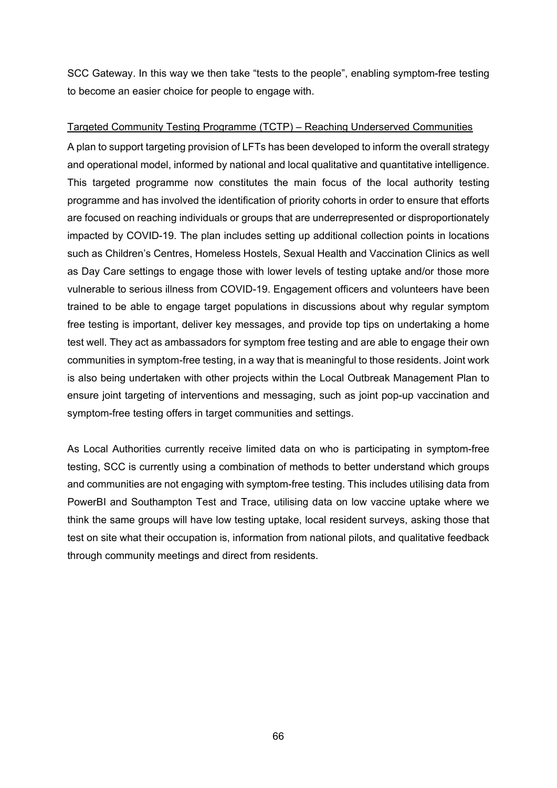SCC Gateway. In this way we then take "tests to the people", enabling symptom-free testing to become an easier choice for people to engage with.

### Targeted Community Testing Programme (TCTP) – Reaching Underserved Communities

 programme and has involved the identification of priority cohorts in order to ensure that efforts are focused on reaching individuals or groups that are underrepresented or disproportionately free testing is important, deliver key messages, and provide top tips on undertaking a home is also being undertaken with other projects within the Local Outbreak Management Plan to A plan to support targeting provision of LFTs has been developed to inform the overall strategy and operational model, informed by national and local qualitative and quantitative intelligence. This targeted programme now constitutes the main focus of the local authority testing impacted by COVID-19. The plan includes setting up additional collection points in locations such as Children's Centres, Homeless Hostels, Sexual Health and Vaccination Clinics as well as Day Care settings to engage those with lower levels of testing uptake and/or those more vulnerable to serious illness from COVID-19. Engagement officers and volunteers have been trained to be able to engage target populations in discussions about why regular symptom test well. They act as ambassadors for symptom free testing and are able to engage their own communities in symptom-free testing, in a way that is meaningful to those residents. Joint work ensure joint targeting of interventions and messaging, such as joint pop-up vaccination and symptom-free testing offers in target communities and settings.

 think the same groups will have low testing uptake, local resident surveys, asking those that As Local Authorities currently receive limited data on who is participating in symptom-free testing, SCC is currently using a combination of methods to better understand which groups and communities are not engaging with symptom-free testing. This includes utilising data from PowerBI and Southampton Test and Trace, utilising data on low vaccine uptake where we test on site what their occupation is, information from national pilots, and qualitative feedback through community meetings and direct from residents.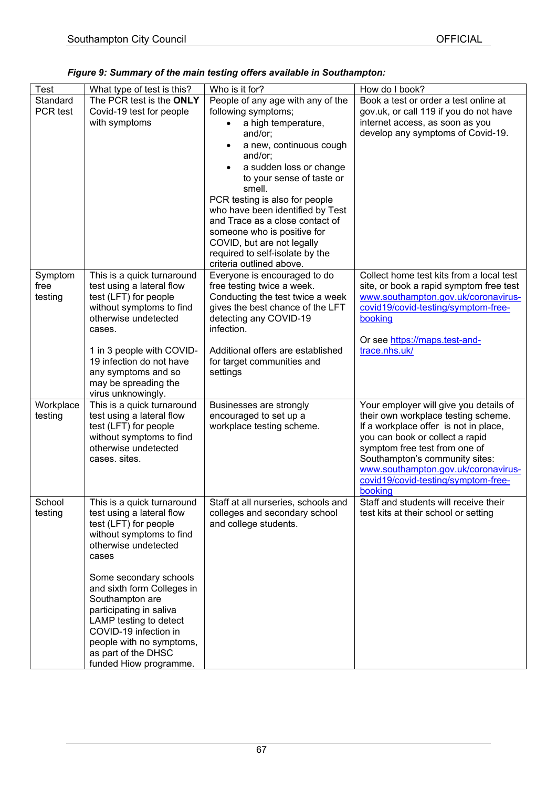| Figure 9: Summary of the main testing offers available in Southampton: |  |  |
|------------------------------------------------------------------------|--|--|
|------------------------------------------------------------------------|--|--|

| <b>Test</b>     | What type of test is this?                              | Who is it for?                                           | How do I book?                                 |
|-----------------|---------------------------------------------------------|----------------------------------------------------------|------------------------------------------------|
| Standard        | The PCR test is the ONLY                                | People of any age with any of the                        | Book a test or order a test online at          |
| PCR test        | Covid-19 test for people                                | following symptoms;                                      | gov.uk, or call 119 if you do not have         |
|                 | with symptoms                                           | a high temperature,                                      | internet access, as soon as you                |
|                 |                                                         | and/or;                                                  | develop any symptoms of Covid-19.              |
|                 |                                                         | a new, continuous cough                                  |                                                |
|                 |                                                         | and/or;                                                  |                                                |
|                 |                                                         | a sudden loss or change<br>to your sense of taste or     |                                                |
|                 |                                                         | smell.                                                   |                                                |
|                 |                                                         | PCR testing is also for people                           |                                                |
|                 |                                                         | who have been identified by Test                         |                                                |
|                 |                                                         | and Trace as a close contact of                          |                                                |
|                 |                                                         | someone who is positive for                              |                                                |
|                 |                                                         | COVID, but are not legally                               |                                                |
|                 |                                                         | required to self-isolate by the                          |                                                |
|                 |                                                         | criteria outlined above.<br>Everyone is encouraged to do | Collect home test kits from a local test       |
| Symptom<br>free | This is a quick turnaround<br>test using a lateral flow | free testing twice a week.                               | site, or book a rapid symptom free test        |
| testing         | test (LFT) for people                                   | Conducting the test twice a week                         | www.southampton.gov.uk/coronavirus-            |
|                 | without symptoms to find                                | gives the best chance of the LFT                         | covid19/covid-testing/symptom-free-            |
|                 | otherwise undetected                                    | detecting any COVID-19                                   | booking                                        |
|                 | cases.                                                  | infection.                                               |                                                |
|                 |                                                         |                                                          | Or see https://maps.test-and-                  |
|                 | 1 in 3 people with COVID-                               | Additional offers are established                        | trace.nhs.uk/                                  |
|                 | 19 infection do not have                                | for target communities and                               |                                                |
|                 | any symptoms and so                                     | settings                                                 |                                                |
|                 | may be spreading the<br>virus unknowingly.              |                                                          |                                                |
| Workplace       | This is a quick turnaround                              | Businesses are strongly                                  | Your employer will give you details of         |
| testing         | test using a lateral flow                               | encouraged to set up a                                   | their own workplace testing scheme.            |
|                 | test (LFT) for people                                   | workplace testing scheme.                                | If a workplace offer is not in place,          |
|                 | without symptoms to find                                |                                                          | you can book or collect a rapid                |
|                 | otherwise undetected                                    |                                                          | symptom free test from one of                  |
|                 | cases. sites.                                           |                                                          | Southampton's community sites:                 |
|                 |                                                         |                                                          | www.southampton.gov.uk/coronavirus-            |
|                 |                                                         |                                                          | covid19/covid-testing/symptom-free-<br>booking |
| School          | This is a quick turnaround                              | Staff at all nurseries, schools and                      | Staff and students will receive their          |
| testing         | test using a lateral flow                               | colleges and secondary school                            | test kits at their school or setting           |
|                 | test (LFT) for people                                   | and college students.                                    |                                                |
|                 | without symptoms to find                                |                                                          |                                                |
|                 | otherwise undetected                                    |                                                          |                                                |
|                 | cases                                                   |                                                          |                                                |
|                 | Some secondary schools                                  |                                                          |                                                |
|                 | and sixth form Colleges in                              |                                                          |                                                |
|                 | Southampton are                                         |                                                          |                                                |
|                 | participating in saliva                                 |                                                          |                                                |
|                 | LAMP testing to detect                                  |                                                          |                                                |
|                 | COVID-19 infection in                                   |                                                          |                                                |
|                 | people with no symptoms,                                |                                                          |                                                |
|                 | as part of the DHSC                                     |                                                          |                                                |
|                 | funded Hiow programme.                                  |                                                          |                                                |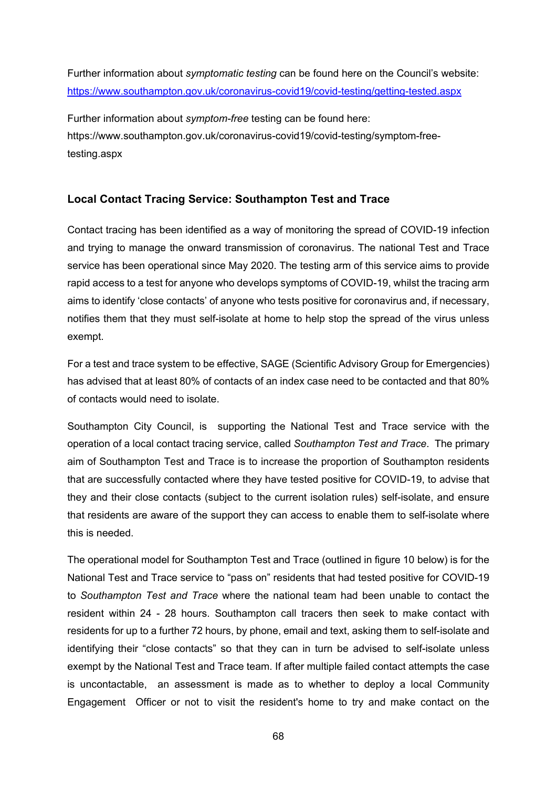Further information about *symptomatic testing* can be found here on the Council's website: <https://www.southampton.gov.uk/coronavirus-covid19/covid-testing/getting-tested.aspx>

Further information about *symptom-free* testing can be found here: https://www.southampton.gov.uk/coronavirus-covid19/covid-testing/symptom-freetesting.aspx

# **Local Contact Tracing Service: Southampton Test and Trace**

 aims to identify 'close contacts' of anyone who tests positive for coronavirus and, if necessary, Contact tracing has been identified as a way of monitoring the spread of COVID-19 infection and trying to manage the onward transmission of coronavirus. The national Test and Trace service has been operational since May 2020. The testing arm of this service aims to provide rapid access to a test for anyone who develops symptoms of COVID-19, whilst the tracing arm notifies them that they must self-isolate at home to help stop the spread of the virus unless exempt.

 has advised that at least 80% of contacts of an index case need to be contacted and that 80% For a test and trace system to be effective, SAGE (Scientific Advisory Group for Emergencies) of contacts would need to isolate.

 Southampton City Council, is supporting the National Test and Trace service with the operation of a local contact tracing service, called *Southampton Test and Trace*. The primary aim of Southampton Test and Trace is to increase the proportion of Southampton residents that are successfully contacted where they have tested positive for COVID-19, to advise that they and their close contacts (subject to the current isolation rules) self-isolate, and ensure that residents are aware of the support they can access to enable them to self-isolate where this is needed.

 The operational model for Southampton Test and Trace (outlined in figure 10 below) is for the resident within 24 - 28 hours. Southampton call tracers then seek to make contact with residents for up to a further 72 hours, by phone, email and text, asking them to self-isolate and Engagement Officer or not to visit the resident's home to try and make contact on the National Test and Trace service to "pass on" residents that had tested positive for COVID-19 to *Southampton Test and Trace* where the national team had been unable to contact the identifying their "close contacts" so that they can in turn be advised to self-isolate unless exempt by the National Test and Trace team. If after multiple failed contact attempts the case is uncontactable, an assessment is made as to whether to deploy a local Community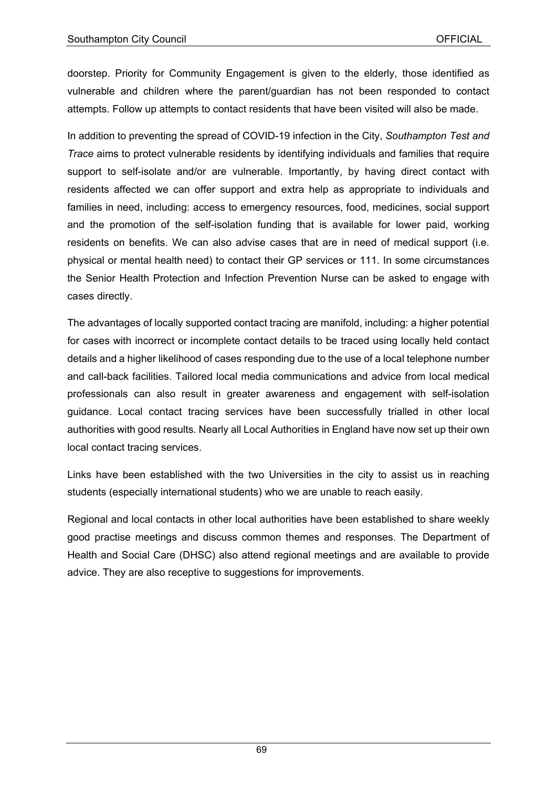doorstep. Priority for Community Engagement is given to the elderly, those identified as vulnerable and children where the parent/guardian has not been responded to contact attempts. Follow up attempts to contact residents that have been visited will also be made.

 support to self-isolate and/or are vulnerable. Importantly, by having direct contact with families in need, including: access to emergency resources, food, medicines, social support and the promotion of the self-isolation funding that is available for lower paid, working residents on benefits. We can also advise cases that are in need of medical support (i.e. physical or mental health need) to contact their GP services or 111. In some circumstances In addition to preventing the spread of COVID-19 infection in the City, *Southampton Test and Trace* aims to protect vulnerable residents by identifying individuals and families that require residents affected we can offer support and extra help as appropriate to individuals and the Senior Health Protection and Infection Prevention Nurse can be asked to engage with cases directly.

 The advantages of locally supported contact tracing are manifold, including: a higher potential authorities with good results. Nearly all Local Authorities in England have now set up their own for cases with incorrect or incomplete contact details to be traced using locally held contact details and a higher likelihood of cases responding due to the use of a local telephone number and call-back facilities. Tailored local media communications and advice from local medical professionals can also result in greater awareness and engagement with self-isolation guidance. Local contact tracing services have been successfully trialled in other local local contact tracing services.

 students (especially international students) who we are unable to reach easily. Links have been established with the two Universities in the city to assist us in reaching

 Regional and local contacts in other local authorities have been established to share weekly good practise meetings and discuss common themes and responses. The Department of Health and Social Care (DHSC) also attend regional meetings and are available to provide advice. They are also receptive to suggestions for improvements.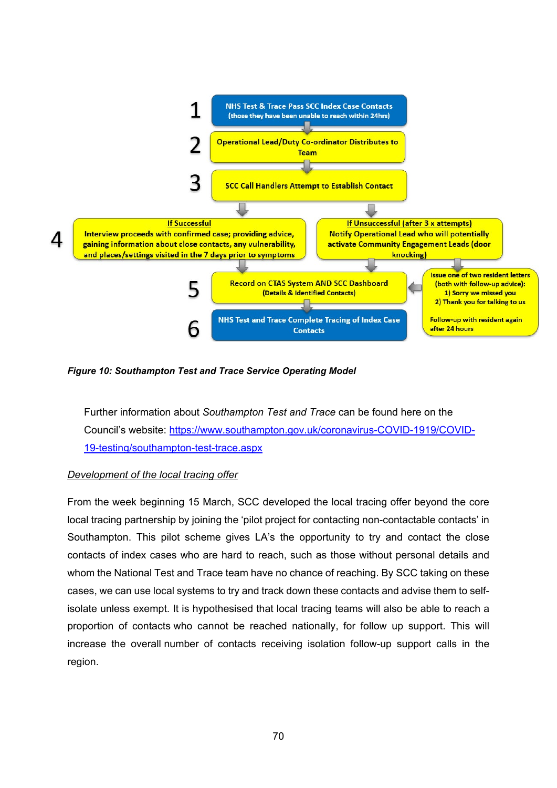

### *Figure 10: Southampton Test and Trace Service Operating Model*

Further information about *Southampton Test and Trace* can be found here on the Council's website: [https://www.southampton.gov.uk/coronavirus-COVID-1919/COVID-](https://www.southampton.gov.uk/coronavirus-covid19/covid-testing/southampton-test-trace.aspx)[19-testing/southampton-test-trace.aspx](https://www.southampton.gov.uk/coronavirus-covid19/covid-testing/southampton-test-trace.aspx) 

#### *Development of the local tracing offer*

 From the week beginning 15 March, SCC developed the local tracing offer beyond the core local tracing partnership by joining the 'pilot project for contacting non-contactable contacts' in cases, we can use local systems to try and track down these contacts and advise them to self- isolate unless exempt. It is hypothesised that local tracing teams will also be able to reach a Southampton. This pilot scheme gives LA's the opportunity to try and contact the close contacts of index cases who are hard to reach, such as those without personal details and whom the National Test and Trace team have no chance of reaching. By SCC taking on these proportion of contacts who cannot be reached nationally, for follow up support. This will increase the overall number of contacts receiving isolation follow-up support calls in the region.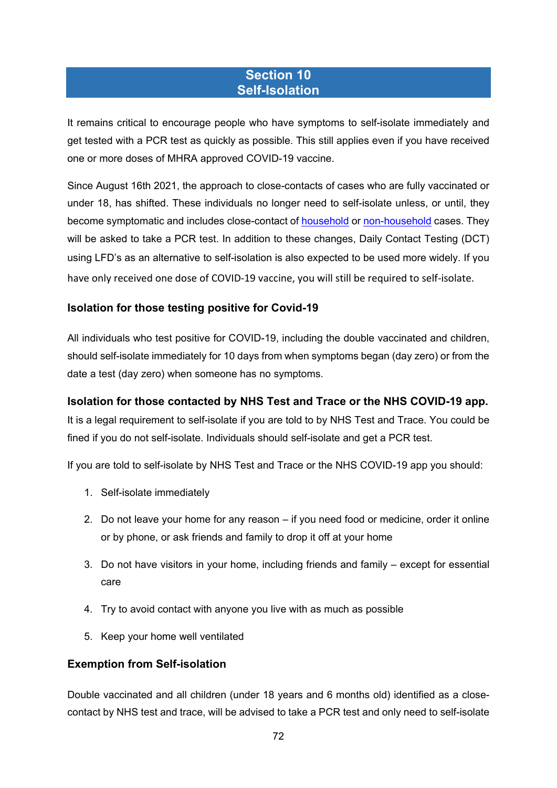# **Section 10 Self-Isolation**

It remains critical to encourage people who have symptoms to self-isolate immediately and get tested with a PCR test as quickly as possible. This still applies even if you have received one or more doses of MHRA approved COVID-19 vaccine.

 using LFD's as an alternative to self-isolation is also expected to be used more widely. If you Since August 16th 2021, the approach to close-contacts of cases who are fully vaccinated or under 18, has shifted. These individuals no longer need to self-isolate unless, or until, they become symptomatic and includes close-contact of [household](https://www.gov.uk/government/publications/covid-19-stay-at-home-guidance/stay-at-home-guidance-for-households-with-possible-coronavirus-covid-19-infection) or [non-household](https://www.gov.uk/government/publications/guidance-for-contacts-of-people-with-possible-or-confirmed-coronavirus-covid-19-infection-who-do-not-live-with-the-person/guidance-for-contacts-of-people-with-possible-or-confirmed-coronavirus-covid-19-infection-who-do-not-live-with-the-person) cases. They will be asked to take a PCR test. In addition to these changes, Daily Contact Testing (DCT) have only received one dose of COVID-19 vaccine, you will still be required to self-isolate.

# **Isolation for those testing positive for Covid-19**

 All individuals who test positive for COVID-19, including the double vaccinated and children, should self-isolate immediately for 10 days from when symptoms began (day zero) or from the date a test (day zero) when someone has no symptoms.

## **Isolation for those contacted by NHS Test and Trace or the NHS COVID-19 app.**

 fined if you do not self-isolate. Individuals should self-isolate and get a PCR test. It is a legal requirement to self-isolate if you are told to by NHS Test and Trace. You could be

If you are told to self-isolate by NHS Test and Trace or the NHS COVID-19 app you should:

- 1. Self-isolate immediately
- 2. Do not leave your home for any reason if you need food or medicine, order it online or by phone, or ask friends and family to drop it off at your home
- 3. Do not have visitors in your home, including friends and family except for essential care
- 4. Try to avoid contact with anyone you live with as much as possible
- 5. Keep your home well ventilated

## **Exemption from Self-isolation**

 Double vaccinated and all children (under 18 years and 6 months old) identified as a closecontact by NHS test and trace, will be advised to take a PCR test and only need to self-isolate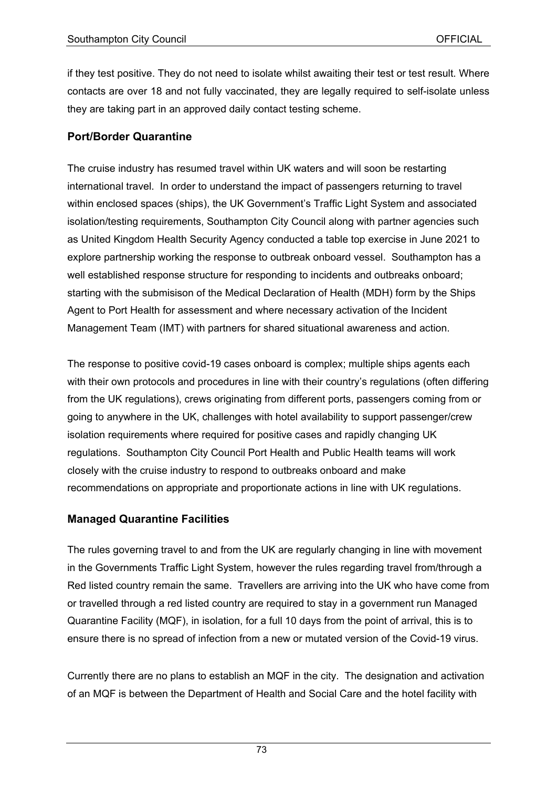if they test positive. They do not need to isolate whilst awaiting their test or test result. Where contacts are over 18 and not fully vaccinated, they are legally required to self-isolate unless they are taking part in an approved daily contact testing scheme.

#### **Port/Border Quarantine**

The cruise industry has resumed travel within UK waters and will soon be restarting international travel. In order to understand the impact of passengers returning to travel within enclosed spaces (ships), the UK Government's Traffic Light System and associated isolation/testing requirements, Southampton City Council along with partner agencies such as United Kingdom Health Security Agency conducted a table top exercise in June 2021 to explore partnership working the response to outbreak onboard vessel. Southampton has a well established response structure for responding to incidents and outbreaks onboard; starting with the submisison of the Medical Declaration of Health (MDH) form by the Ships Agent to Port Health for assessment and where necessary activation of the Incident Management Team (IMT) with partners for shared situational awareness and action.

 recommendations on appropriate and proportionate actions in line with UK regulations. The response to positive covid-19 cases onboard is complex; multiple ships agents each with their own protocols and procedures in line with their country's regulations (often differing from the UK regulations), crews originating from different ports, passengers coming from or going to anywhere in the UK, challenges with hotel availability to support passenger/crew isolation requirements where required for positive cases and rapidly changing UK regulations. Southampton City Council Port Health and Public Health teams will work closely with the cruise industry to respond to outbreaks onboard and make

#### **Managed Quarantine Facilities**

The rules governing travel to and from the UK are regularly changing in line with movement in the Governments Traffic Light System, however the rules regarding travel from/through a Red listed country remain the same. Travellers are arriving into the UK who have come from or travelled through a red listed country are required to stay in a government run Managed Quarantine Facility (MQF), in isolation, for a full 10 days from the point of arrival, this is to ensure there is no spread of infection from a new or mutated version of the Covid-19 virus.

Currently there are no plans to establish an MQF in the city. The designation and activation of an MQF is between the Department of Health and Social Care and the hotel facility with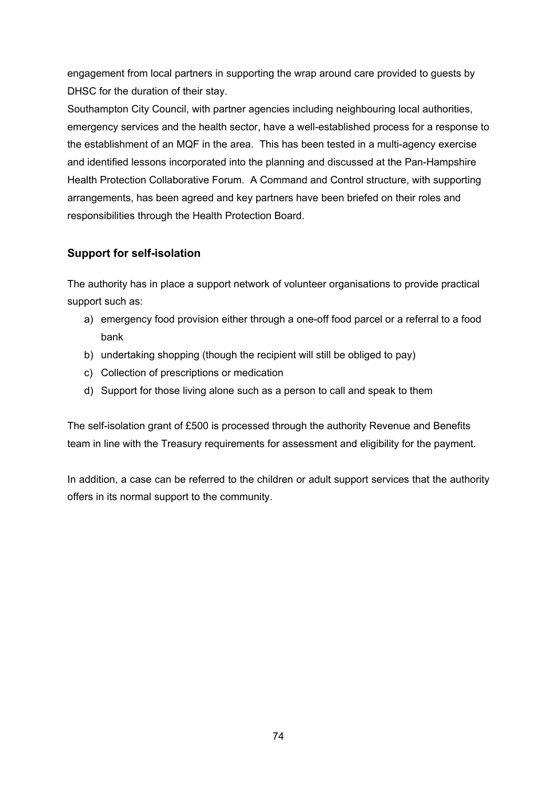engagement from local partners in supporting the wrap around care provided to guests by DHSC for the duration of their stay.

Southampton City Council, with partner agencies including neighbouring local authorities, emergency services and the health sector, have a well-established process for a response to the establishment of an MQF in the area. This has been tested in a multi-agency exercise and identified lessons incorporated into the planning and discussed at the Pan-Hampshire Health Protection Collaborative Forum. A Command and Control structure, with supporting arrangements, has been agreed and key partners have been briefed on their roles and responsibilities through the Health Protection Board.

## **Support for self-isolation**

support such as: The authority has in place a support network of volunteer organisations to provide practical

- a) emergency food provision either through a one-off food parcel or a referral to a food bank
- b) undertaking shopping (though the recipient will still be obliged to pay)
- c) Collection of prescriptions or medication
- d) Support for those living alone such as a person to call and speak to them

The self-isolation grant of £500 is processed through the authority Revenue and Benefits team in line with the Treasury requirements for assessment and eligibility for the payment.

In addition, a case can be referred to the children or adult support services that the authority offers in its normal support to the community.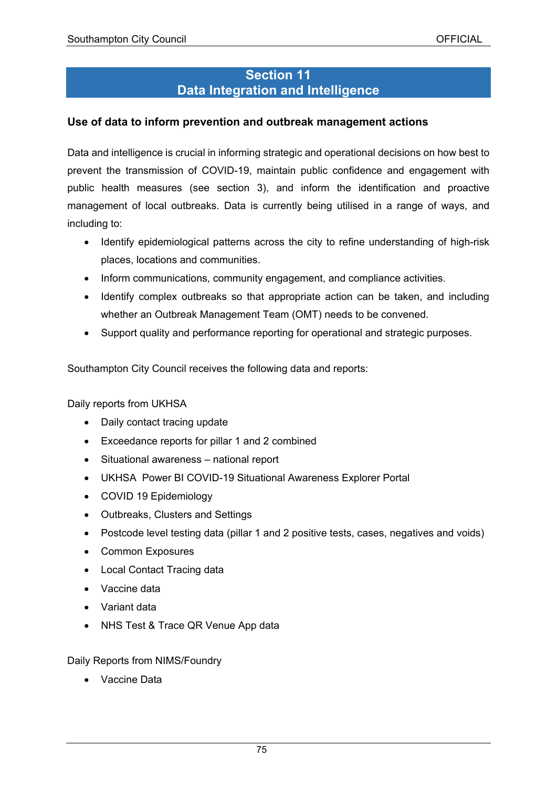## **Section 11 Data Integration and Intelligence**

### **Use of data to inform prevention and outbreak management actions**

 Data and intelligence is crucial in informing strategic and operational decisions on how best to management of local outbreaks. Data is currently being utilised in a range of ways, and prevent the transmission of COVID-19, maintain public confidence and engagement with public health measures (see section 3), and inform the identification and proactive including to:

- • Identify epidemiological patterns across the city to refine understanding of high-risk places, locations and communities.
- Inform communications, community engagement, and compliance activities.
- Identify complex outbreaks so that appropriate action can be taken, and including whether an Outbreak Management Team (OMT) needs to be convened.
- Support quality and performance reporting for operational and strategic purposes.

Southampton City Council receives the following data and reports:

Daily reports from UKHSA

- Daily contact tracing update
- Exceedance reports for pillar 1 and 2 combined
- Situational awareness national report
- UKHSA Power BI COVID-19 Situational Awareness Explorer Portal
- COVID 19 Epidemiology
- Outbreaks, Clusters and Settings
- Postcode level testing data (pillar 1 and 2 positive tests, cases, negatives and voids)
- Common Exposures
- Local Contact Tracing data
- Vaccine data
- Variant data
- NHS Test & Trace QR Venue App data

Daily Reports from NIMS/Foundry

• Vaccine Data